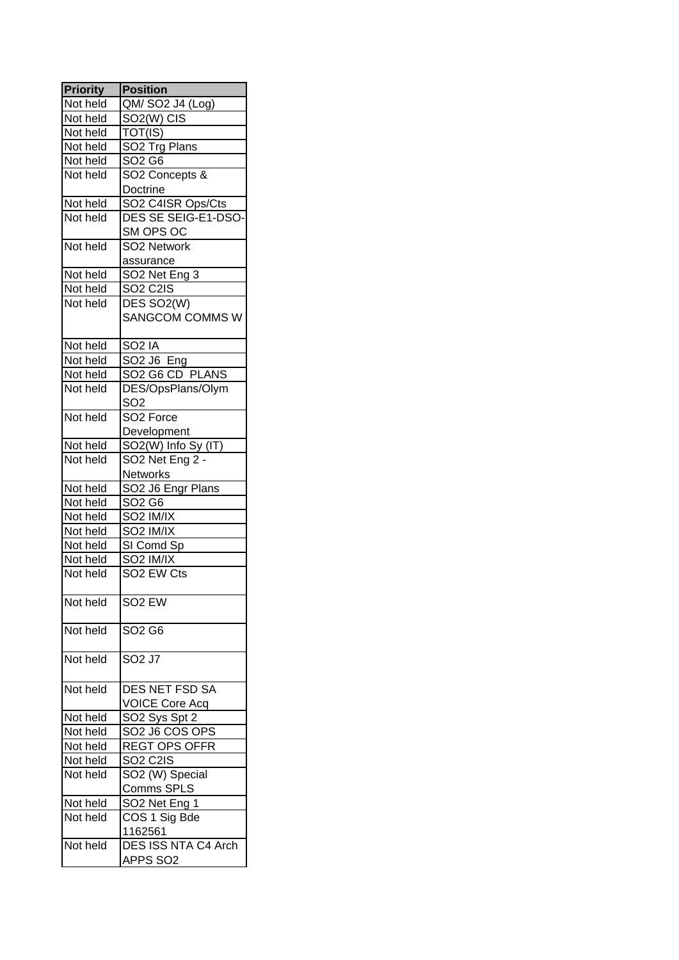| <b>Priority</b> | <b>Position</b>                                    |
|-----------------|----------------------------------------------------|
| Not held        | QM/ SO2 J4 (Log)                                   |
| Not held        | SO <sub>2</sub> (W) CIS                            |
| Not held        | $\overline{\text{TOT(IS)}}$                        |
| Not held        | SO2 Trg Plans                                      |
| Not held        | SO <sub>2</sub> G <sub>6</sub>                     |
| Not held        | SO2 Concepts &                                     |
|                 | Doctrine                                           |
|                 | SO2 C4ISR Ops/Cts                                  |
| Not held        |                                                    |
| Not held        | DES SE SEIG-E1-DSO-                                |
|                 | SM OPS OC                                          |
| Not held        | SO2 Network                                        |
|                 | assurance                                          |
| Not held        | SO <sub>2</sub> Net Eng 3                          |
| Not held        | SO <sub>2</sub> C <sub>21</sub> S                  |
| Not held        | DES SO <sub>2</sub> (W)                            |
|                 | <b>SANGCOM COMMS W</b>                             |
|                 |                                                    |
| Not held        | SO <sub>2</sub> IA                                 |
| Not held        | SO2 J6 Eng                                         |
| Not held        | SO <sub>2</sub> G <sub>6</sub> CD PLANS            |
| Not held        | DES/OpsPlans/Olym                                  |
|                 | SO <sub>2</sub>                                    |
| Not held        | SO <sub>2</sub> Force                              |
|                 | Development                                        |
| Not held        | SO2(W) Info Sy (IT)                                |
| Not held        | SO <sub>2</sub> Net Eng 2 -                        |
|                 | Networks                                           |
| Not held        | SO <sub>2</sub> J <sub>6</sub> Engr Plans          |
| Not held        | SO <sub>2</sub> G <sub>6</sub>                     |
| Not held        | SO <sub>2</sub> IM/IX                              |
|                 |                                                    |
| Not held        | SO <sub>2</sub> IM/IX                              |
| Not held        | SI Comd Sp                                         |
| Not held        | SO <sub>2</sub> IM/IX                              |
| Not held        | SO <sub>2</sub> EW Cts                             |
|                 |                                                    |
| Not held        | SO <sub>2</sub> EW                                 |
|                 |                                                    |
| Not held        | SO <sub>2</sub> G <sub>6</sub>                     |
| Not held        | SO <sub>2</sub> J7                                 |
|                 |                                                    |
|                 |                                                    |
| Not held        | DES NET FSD SA                                     |
|                 | <b>VOICE Core Acq</b>                              |
| Not held        | SO2 Sys Spt 2                                      |
| Not held        | SO <sub>2</sub> J <sub>6</sub> CO <sub>S</sub> OPS |
| Not held        | <b>REGT OPS OFFR</b>                               |
| Not held        | SO <sub>2</sub> C <sub>2</sub> IS                  |
| Not held        | SO2 (W) Special                                    |
|                 | Comms SPLS                                         |
| Not held        | SO2 Net Eng 1                                      |
| Not held        | COS 1 Sig Bde                                      |
|                 | 1162561                                            |
| Not held        | <b>DES ISS NTA C4 Arch</b>                         |
|                 | APPS SO2                                           |
|                 |                                                    |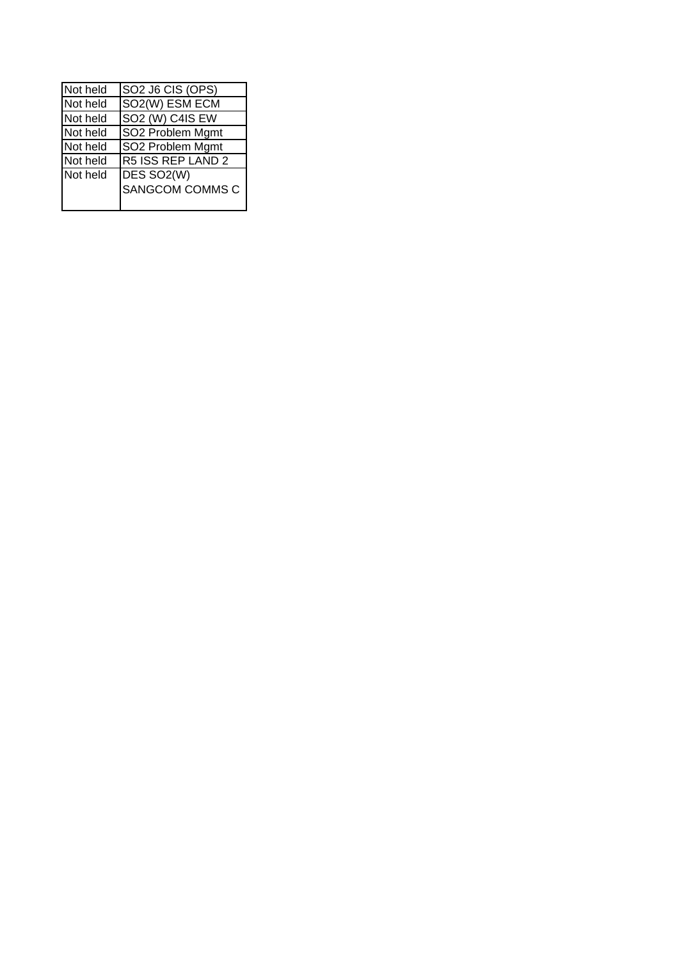| Not held | SO <sub>2</sub> J <sub>6</sub> CIS (OPS) |
|----------|------------------------------------------|
| Not held | SO <sub>2</sub> (W) ESM ECM              |
| Not held | SO <sub>2</sub> (W) C <sub>4</sub> IS EW |
| Not held | SO2 Problem Mgmt                         |
| Not held | SO2 Problem Mgmt                         |
| Not held | R5 ISS REP LAND 2                        |
| Not held | DES SO <sub>2</sub> (W)                  |
|          | <b>SANGCOM COMMS C</b>                   |
|          |                                          |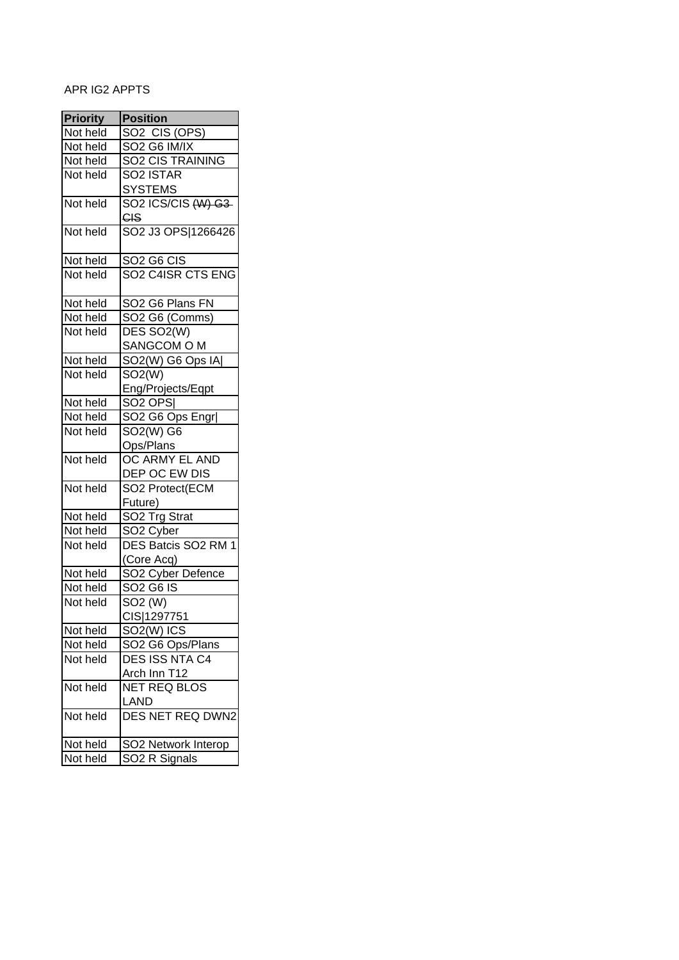# APR IG2 APPTS

| <b>Priority</b> | <b>Position</b>                                |
|-----------------|------------------------------------------------|
| Not held        | SO2 CIS (OPS)                                  |
| Not held        | SO <sub>2</sub> G <sub>6</sub> IM/IX           |
| Not held        | <b>SO2 CIS TRAINING</b>                        |
| Not held        | SO <sub>2</sub> ISTAR                          |
|                 | <b>SYSTEMS</b>                                 |
| Not held        | SO2 ICS/CIS (W) G3                             |
|                 | CIS                                            |
| Not held        | SO2 J3 OPS 1266426                             |
|                 |                                                |
| Not held        | SO <sub>2</sub> G <sub>6</sub> C <sub>IS</sub> |
| Not held        | SO2 C4ISR CTS ENG                              |
|                 |                                                |
| Not held        | SO2 G6 Plans FN                                |
| Not held        | SO <sub>2</sub> G <sub>6</sub> (Comms)         |
| Not held        | DES SO <sub>2</sub> (W)                        |
|                 | SANGCOM O M                                    |
| Not held        | SO2(W) G6 Ops IA                               |
| Not held        | SO2(W)                                         |
|                 |                                                |
|                 | Eng/Projects/Eqpt                              |
| Not held        | SO <sub>2</sub> OPS                            |
| Not held        | SO2 G6 Ops Engr                                |
| Not held        | SO2(W) G6                                      |
|                 | Ops/Plans                                      |
| Not held        | OC ARMY EL AND                                 |
|                 | DEP OC EW DIS                                  |
| Not held        | SO2 Protect(ECM                                |
|                 | Future)                                        |
| Not held        | SO <sub>2</sub> Trg Strat                      |
| Not held        | SO <sub>2</sub> Cyber                          |
| Not held        | DES Batcis SO <sub>2</sub> RM 1                |
|                 | (Core Acq)                                     |
| Not held        | SO <sub>2</sub> Cyber Defence                  |
| Not held        | SO <sub>2</sub> G <sub>6</sub> IS              |
| Not held        | SO <sub>2</sub> (W)                            |
|                 | CIS 1297751                                    |
| Not held        | SO2(W) ICS                                     |
| Not held        | SO2 G6 Ops/Plans                               |
| Not held        | DES ISS NTA C4                                 |
|                 | Arch Inn T12                                   |
| Not held        | <b>NET REQ BLOS</b>                            |
|                 | LAND                                           |
| Not held        | DES NET REQ DWN2                               |
|                 |                                                |
| Not held        | SO2 Network Interop                            |
| Not held        | SO2 R Signals                                  |
|                 |                                                |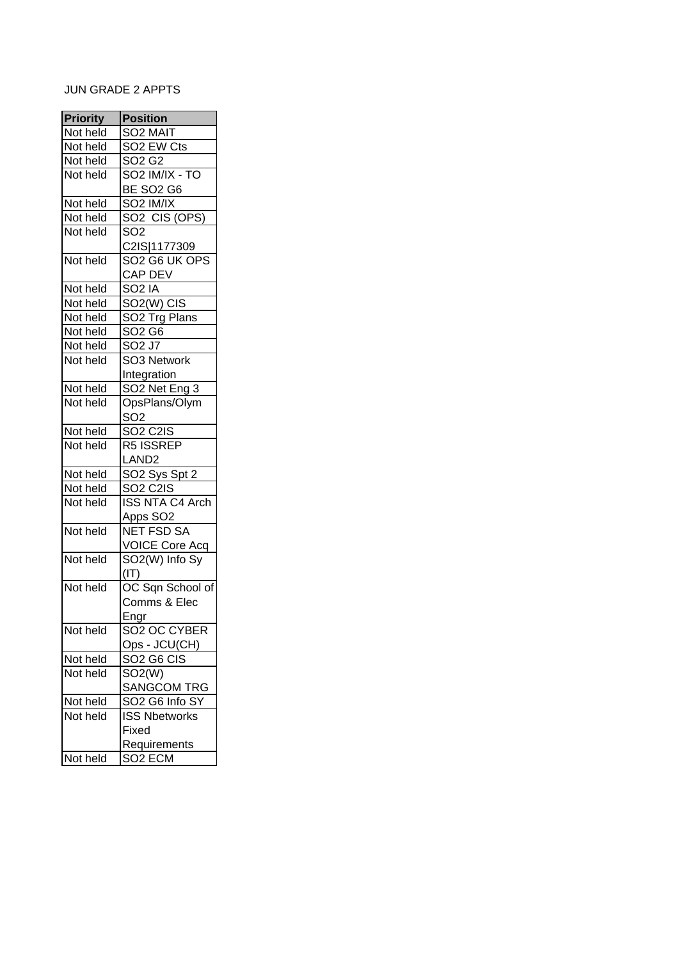# JUN GRADE 2 APPTS

| <b>Priority</b> | <b>Position</b>                        |
|-----------------|----------------------------------------|
| Not held        | SO <sub>2</sub> MAIT                   |
| Not held        | SO <sub>2</sub> EW Cts                 |
| Not held        | SO <sub>2</sub> G <sub>2</sub>         |
| Not held        | SO <sub>2</sub> IM/IX - TO             |
|                 | <b>BE SO2 G6</b>                       |
|                 |                                        |
| Not held        | SO <sub>2</sub> IM/IX                  |
| Not held        | SO <sub>2</sub> CIS (OPS)              |
| Not held        | SO <sub>2</sub>                        |
|                 | C2IS 1177309                           |
| Not held        | SO <sub>2</sub> G <sub>6</sub> UK OPS  |
|                 | CAP DEV                                |
| Not held        | SO <sub>2</sub> IA                     |
| Not held        | SO <sub>2</sub> (W) CIS                |
| Not held        | SO <sub>2</sub> Trg Plans              |
| Not held        | SO <sub>2</sub> G <sub>6</sub>         |
| Not held        | $SO2$ J7                               |
| Not held        | SO3 Network                            |
|                 | Integration                            |
| Not held        | SO2 Net Eng 3                          |
| Not held        | OpsPlans/Olym                          |
|                 | SO <sub>2</sub>                        |
| Not held        | <b>SO2 C2IS</b>                        |
| Not held        | R5 ISSREP                              |
|                 | LAND <sub>2</sub>                      |
| Not held        | SO <sub>2</sub> Sys Spt 2              |
| Not held        | <b>SO2 C2IS</b>                        |
| Not held        | <b>ISS NTA C4 Arch</b>                 |
|                 | Apps SO <sub>2</sub>                   |
| Not held        | <b>NET FSD SA</b>                      |
|                 | VOICE Core Acq                         |
| Not held        | SO2(W) Info Sy                         |
|                 | (1T)                                   |
| Not held        | OC Sqn School of                       |
|                 | Comms & Elec                           |
|                 | Engr                                   |
| Not held        | SO2 OC CYBER                           |
|                 | Ops - JCU(CH)                          |
| Not held        | SO <sub>2</sub> G <sub>6</sub> CIS     |
| Not held        | SO2(W)                                 |
|                 | <b>SANGCOM TRG</b>                     |
| Not held        | SO <sub>2</sub> G <sub>6</sub> Info SY |
|                 |                                        |
| Not held        | <b>ISS Nbetworks</b>                   |
|                 | Fixed                                  |
|                 | Requirements                           |
| Not held        | SO <sub>2</sub> ECM                    |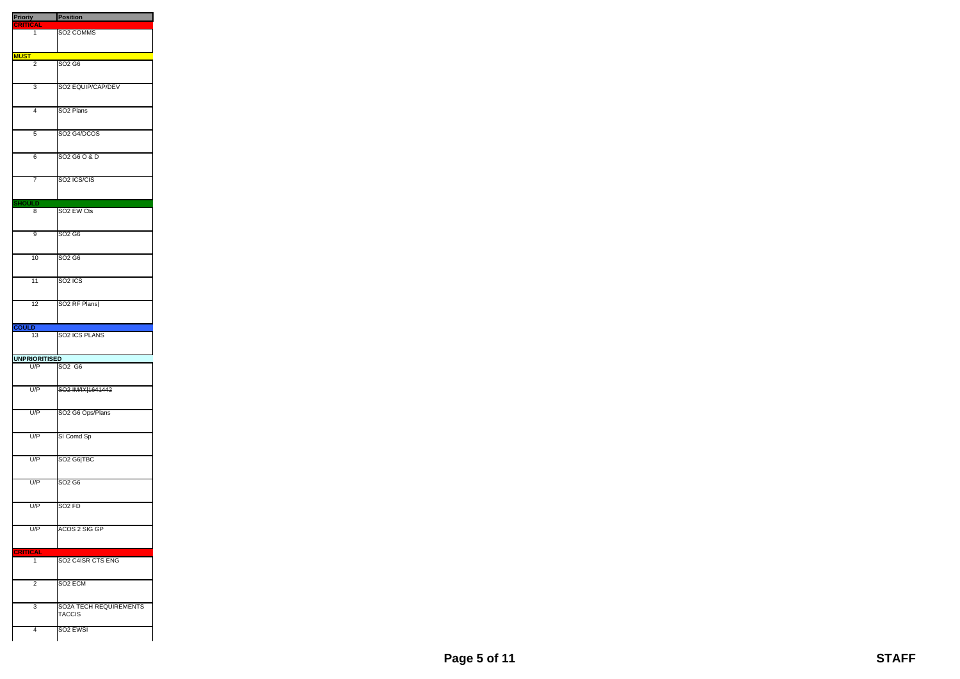| <b>Prioriy</b> Position     |                                                |
|-----------------------------|------------------------------------------------|
| <b>CRITICAL</b>             |                                                |
| 1                           | SO <sub>2</sub> COMMS                          |
|                             |                                                |
| <b>MUST</b>                 |                                                |
| $\overline{2}$              | SO <sub>2</sub> G <sub>6</sub>                 |
| 3                           | SO2 EQUIP/CAP/DEV                              |
| 4                           | SO <sub>2</sub> Plans                          |
| 5                           | SO2 G4/DCOS                                    |
| 6                           | SO2 G6 O & D                                   |
| 7                           | SO <sub>2</sub> ICS/CIS                        |
|                             |                                                |
| <b>HOULD</b><br>8           | SO <sub>2</sub> EW Cts                         |
| 9                           | SO <sub>2</sub> G <sub>6</sub>                 |
|                             |                                                |
| 10                          | SO2 G6                                         |
| $\overline{11}$             | SO <sub>2</sub> ICS                            |
| 12                          | SO <sub>2</sub> RF Plans                       |
|                             |                                                |
| <b>COULD</b>                |                                                |
|                             |                                                |
| 13                          | SO2 ICS PLANS                                  |
|                             |                                                |
| <b>UNPRIORITISED</b><br>U/P | SO <sub>2</sub> G <sub>6</sub>                 |
| U/P                         | SO2 IM/IX 1641442                              |
| U/P                         | SO2 G6 Ops/Plans                               |
| U/P                         | SI Comd Sp                                     |
| U/P                         | SO <sub>2</sub> G <sub>6</sub> TBC             |
| U/P                         | SO <sub>2</sub> G <sub>6</sub>                 |
| U/P                         | SO <sub>2</sub> FD                             |
| U/P                         | ACOS 2 SIG GP                                  |
|                             |                                                |
| <b>CRITICAL</b><br>1        | SO2 C4ISR CTS ENG                              |
| $\overline{2}$              | SO <sub>2</sub> ECM                            |
| 3                           | <b>SO2A TECH REQUIREMENTS</b><br><b>TACCIS</b> |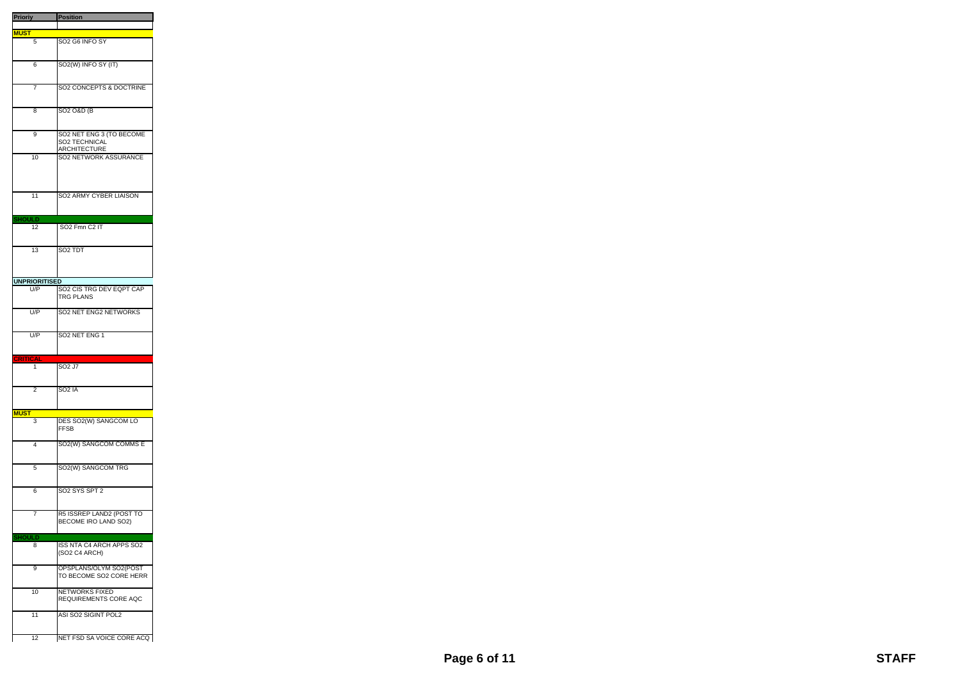| <b>Prioriy</b>       | <b>Position</b>                                                         |
|----------------------|-------------------------------------------------------------------------|
| <b>MUST</b>          |                                                                         |
| 5                    | SO <sub>2</sub> G <sub>6</sub> INFO SY                                  |
|                      |                                                                         |
| 6                    | SO2(W) INFO SY (IT)                                                     |
| 7                    | SO2 CONCEPTS & DOCTRINE                                                 |
| 8                    | SO <sub>2</sub> O&D (B                                                  |
| 9                    | SO2 NET ENG 3 (TO BECOME<br><b>SO2 TECHNICAL</b><br><b>ARCHITECTURE</b> |
| 10                   | <b>SO2 NETWORK ASSURANCE</b>                                            |
| 11                   | SO2 ARMY CYBER LIAISON                                                  |
| <b>SHOULD</b>        |                                                                         |
| 12                   | SO <sub>2</sub> Fmn C <sub>2</sub> IT                                   |
| 13                   | SO <sub>2</sub> TDT                                                     |
| <b>UNPRIORITISED</b> |                                                                         |
| U/P                  | SO2 CIS TRG DEV EQPT CAP<br><b>TRG PLANS</b>                            |
| U/P                  | SO2 NET ENG2 NETWORKS                                                   |
| U/P                  | SO <sub>2</sub> NET ENG 1                                               |
| <b>CRITICAL</b>      |                                                                         |
| 1                    | SO <sub>2</sub> J <sub>7</sub>                                          |
| 2                    | SO <sub>2</sub> IA                                                      |
| <b>MUST</b>          |                                                                         |
|                      |                                                                         |
| 3                    | DES SO2(W) SANGCOM LO<br><b>FFSB</b>                                    |
| 4                    | SO <sub>2</sub> (W) SANGCOM COMMS E                                     |
| 5                    | SO2(W) SANGCOM TRG                                                      |
| 6                    | SO <sub>2</sub> SYS SPT 2                                               |
| 7                    | R5 ISSREP LAND2 (POST TO<br>BECOME IRO LAND SO2)                        |
| <b>SHOULD</b>        |                                                                         |
| 8                    | <b>ISS NTA C4 ARCH APPS SO2</b><br>(SO2 C4 ARCH)                        |
| 9                    | OPSPLANS/OLYM SO2(POST<br>TO BECOME SO2 CORE HERR                       |
| 10                   | <b>NETWORKS FIXED</b><br>REQUIREMENTS CORE AQC                          |
| 11                   | ASI SO2 SIGINT POL2                                                     |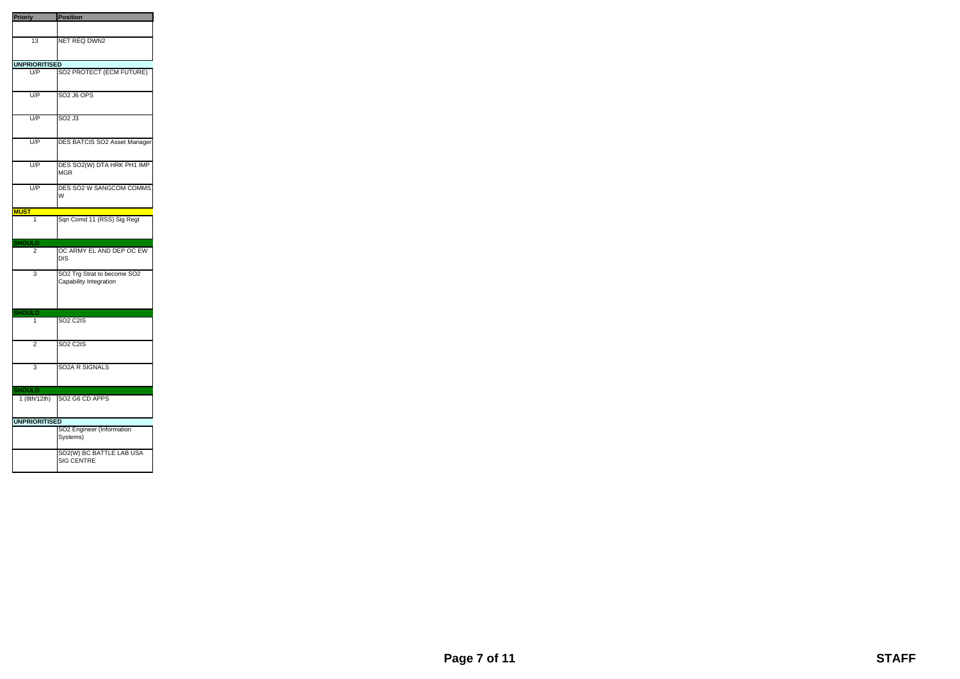| <b>Prioriy</b>          | Position                                              |
|-------------------------|-------------------------------------------------------|
|                         |                                                       |
| $\overline{13}$         | <b>NET REQ DWN2</b>                                   |
| <b>UNPRIORITISED</b>    |                                                       |
| U/P                     | SO2 PROTECT (ECM FUTURE)                              |
| U/P                     | <b>SO2 J6 OPS</b>                                     |
| U/P                     | SO <sub>2</sub> J <sub>3</sub>                        |
| U/P                     | DES BATCIS SO2 Asset Manager                          |
| U/P                     | DES SO2(W) DTA HRK PH1 IMP<br><b>MGR</b>              |
| U/P                     | DES SO2 W SANGCOM COMMS<br>W                          |
| <b>MUST</b>             |                                                       |
| $\overline{\mathbf{1}}$ | Sqn Comd 11 (RSS) Sig Regt                            |
| SHOULD                  |                                                       |
|                         |                                                       |
| 2                       | OC ARMY EL AND DEP OC EW<br><b>DIS</b>                |
| 3                       | SO2 Trg Strat to become SO2<br>Capability Integration |
| JLD                     |                                                       |
| 1                       | <b>SO2 C2IS</b>                                       |
| 2                       | <b>SO<sub>2</sub> C<sub>2</sub>IS</b>                 |
| 3                       | <b>SO2A R SIGNALS</b>                                 |
| <b>SHOULD</b>           |                                                       |
| $1$ (8th/12th)          | SO2 G6 CD APPS                                        |
| <b>UNPRIORITISED</b>    |                                                       |
|                         | SO2 Engineer (Information<br>Systems)                 |

a.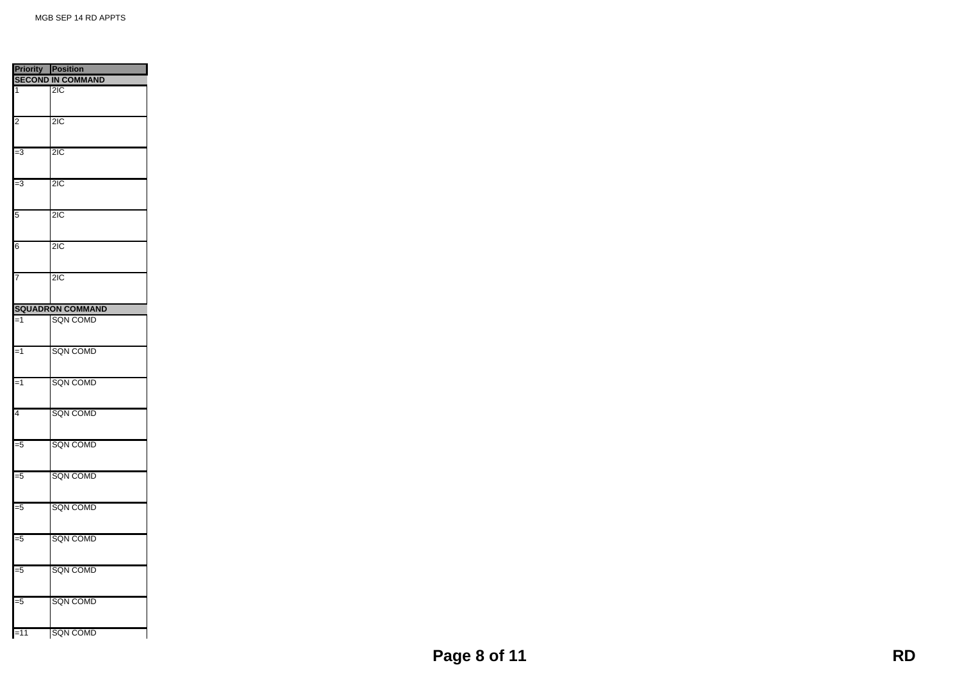| <b>Priority Position</b> |                          |
|--------------------------|--------------------------|
|                          | <b>SECOND IN COMMAND</b> |
| 1                        | $\overline{21}C$         |
|                          |                          |
|                          |                          |
| $\overline{2}$           | $\overline{2IC}$         |
|                          |                          |
|                          |                          |
| $\overline{\mathbf{3}}$  | $\overline{2IC}$         |
|                          |                          |
| $\overline{\mathbf{3}}$  | $\overline{2IC}$         |
|                          |                          |
|                          |                          |
| 5                        | $\overline{2IC}$         |
|                          |                          |
|                          |                          |
| $\overline{6}$           | $\overline{2IC}$         |
|                          |                          |
| 7                        | $\overline{2IC}$         |
|                          |                          |
|                          |                          |
|                          | <b>SQUADRON COMMAND</b>  |
| $=1$                     | <b>SQN COMD</b>          |
|                          |                          |
|                          |                          |
| $=1$                     | <b>SQN COMD</b>          |
|                          |                          |
|                          |                          |
| $=1$                     | <b>SQN COMD</b>          |
|                          |                          |
| 4                        | <b>SQN COMD</b>          |
|                          |                          |
|                          |                          |
| -5                       | <b>SQN COMD</b>          |
|                          |                          |
|                          |                          |
| $\overline{5}$           | <b>SQN COMD</b>          |
|                          |                          |
| -5                       | <b>SQN COMD</b>          |
|                          |                          |
|                          |                          |
| -5                       | <b>SQN COMD</b>          |
|                          |                          |
|                          |                          |
| -5                       | <b>SQN COMD</b>          |
|                          |                          |
|                          |                          |
| -5                       | <b>SQN COMD</b>          |
|                          |                          |
| $=11$                    | <b>SQN COMD</b>          |
|                          |                          |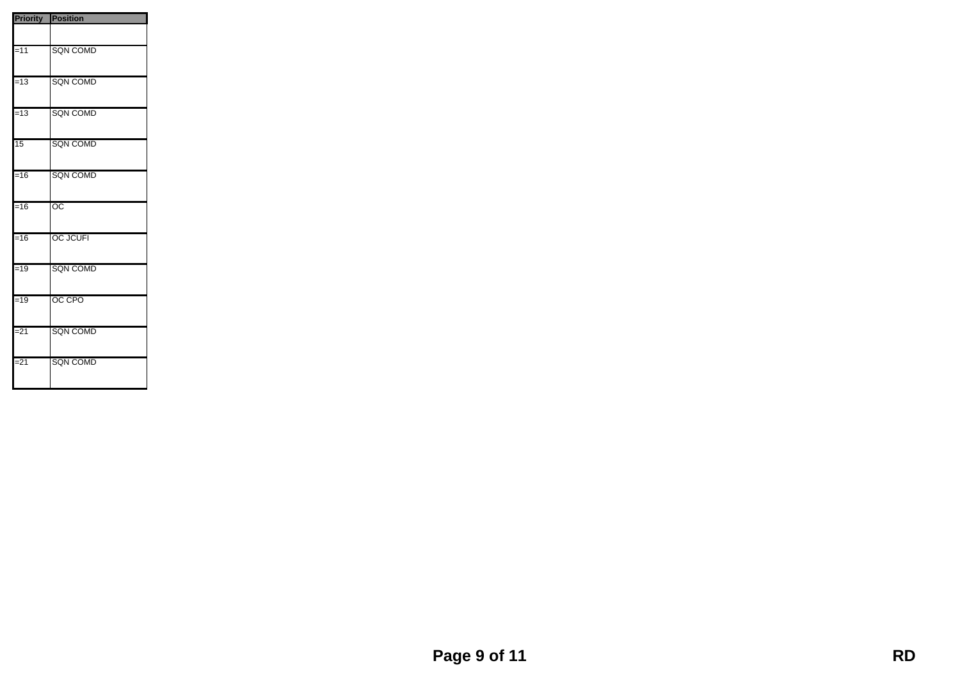| <b>Priority Position</b> |                 |
|--------------------------|-----------------|
|                          |                 |
| $=11$                    | <b>SQN COMD</b> |
| $=13$                    | <b>SQN COMD</b> |
| $=13$                    | <b>SQN COMD</b> |
| $\overline{15}$          | <b>SQN COMD</b> |
| $=16$                    | <b>SQN COMD</b> |
| $=16$                    | $\overline{OC}$ |
| $=16$                    | <b>OC JCUFI</b> |
| $=19$                    | <b>SQN COMD</b> |
| $=19$                    | OC CPO          |
| $= 21$                   | <b>SQN COMD</b> |
| $= 21$                   | <b>SQN COMD</b> |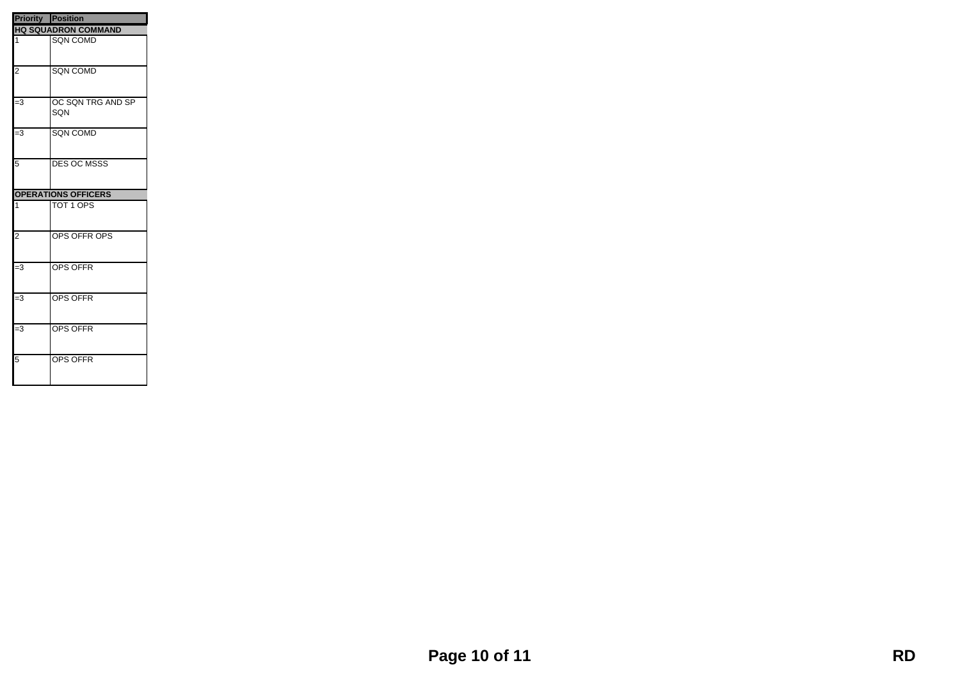| <b>Priority Position</b> |                            |
|--------------------------|----------------------------|
|                          | <b>HQ SQUADRON COMMAND</b> |
| 1                        | <b>SQN COMD</b>            |
| $\overline{2}$           | <b>SQN COMD</b>            |
| $\overline{=}3$          | OC SQN TRG AND SP<br>SQN   |
| $=3$                     | <b>SQN COMD</b>            |
| 5                        | <b>DES OC MSSS</b>         |
|                          | <b>OPERATIONS OFFICERS</b> |
| $\overline{1}$           | TOT 1 OPS                  |
| $\overline{2}$           | OPS OFFR OPS               |
| $\overline{=}3$          | <b>OPS OFFR</b>            |
| IJ,                      | OPS OFFR                   |
| $\overline{=}3$          | <b>OPS OFFR</b>            |
| $\overline{5}$           | <b>OPS OFFR</b>            |